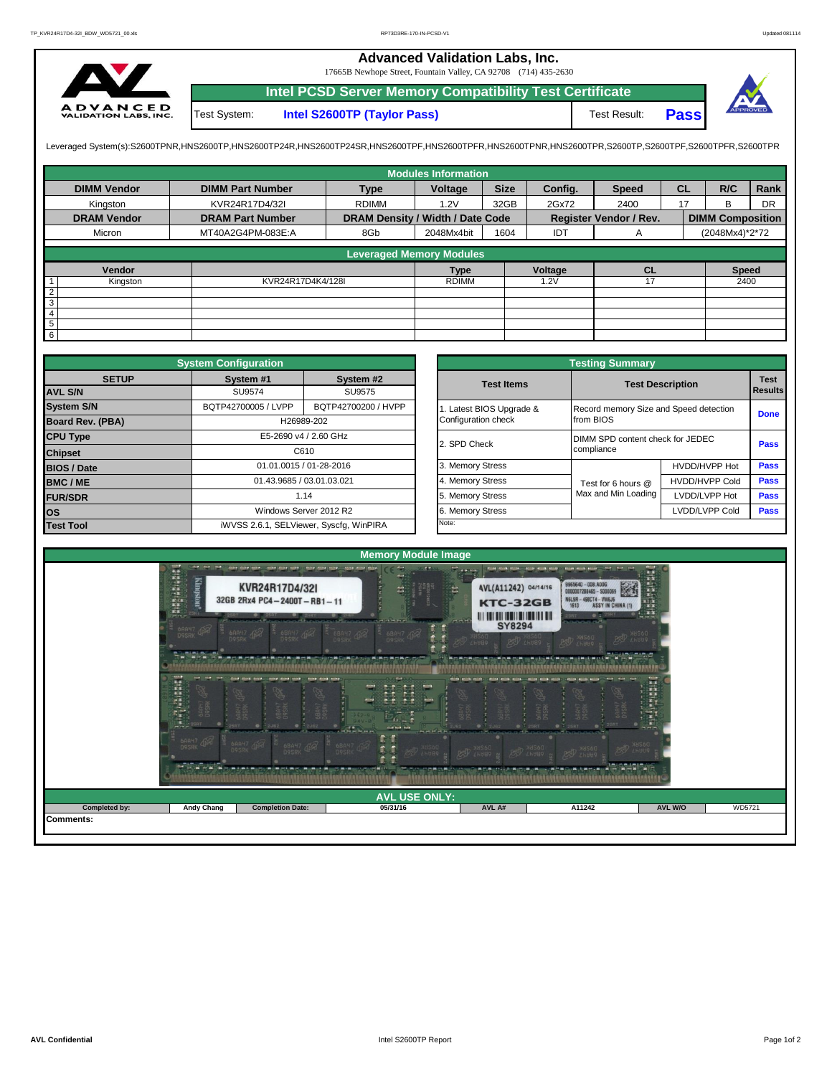## **Advanced Validation Labs, Inc.**

17665B Newhope Street, Fountain Valley, CA 92708 (714) 435-2630



**Intel PCSD Server Memory Compatibility Test Certificate Pass** Test System: **Intel S2600TP (Taylor Pass)** Test Result:



Leveraged System(s):S2600TPNR,HNS2600TP,HNS2600TP24R,HNS2600TP24SR,HNS2600TPF,HNS2600TPRR,HNS2600TPR,S2600TPR,S2600TPR,S2600TPR,S2600TPR,S2600TPFR,S2600TPFR,

|                    |                         |                                  | <b>Modules Information</b> |             |         |                               |           |                         |           |
|--------------------|-------------------------|----------------------------------|----------------------------|-------------|---------|-------------------------------|-----------|-------------------------|-----------|
| <b>DIMM Vendor</b> | <b>DIMM Part Number</b> | <b>Type</b>                      | Voltage                    | <b>Size</b> | Config. | <b>Speed</b>                  | <b>CL</b> | R/C                     | Rank      |
| Kingston           | KVR24R17D4/32I          | <b>RDIMM</b>                     | 1.2V                       | 32GB        | 2Gx72   | 2400                          | 17        | <sub>B</sub>            | <b>DR</b> |
| <b>DRAM Vendor</b> | <b>DRAM Part Number</b> | DRAM Density / Width / Date Code |                            |             |         | <b>Register Vendor / Rev.</b> |           | <b>DIMM Composition</b> |           |
| Micron             | MT40A2G4PM-083E:A       | 8Gb                              | 2048Mx4bit                 | 1604        | IDT     | A                             |           | (2048Mx4)*2*72          |           |
|                    |                         | <b>Leveraged Memory Modules</b>  |                            |             |         |                               |           |                         |           |
|                    |                         |                                  |                            |             |         |                               |           |                         |           |
| Vendor             |                         |                                  | <b>Type</b>                |             | Voltage | <b>CL</b>                     |           | <b>Speed</b>            |           |
| Kingston           | KVR24R17D4K4/128I       |                                  | <b>RDIMM</b>               |             | 1.2V    | 17                            |           | 2400                    |           |
| $\overline{2}$     |                         |                                  |                            |             |         |                               |           |                         |           |
| $\overline{3}$     |                         |                                  |                            |             |         |                               |           |                         |           |
| $\overline{4}$     |                         |                                  |                            |             |         |                               |           |                         |           |
| $5\phantom{.0}$    |                         |                                  |                            |             |         |                               |           |                         |           |
| $6\overline{6}$    |                         |                                  |                            |             |         |                               |           |                         |           |

|                    | <b>System Configuration</b> |                                         |                       |                                        |                                  |                |  |  |
|--------------------|-----------------------------|-----------------------------------------|-----------------------|----------------------------------------|----------------------------------|----------------|--|--|
| <b>SETUP</b>       | System #1                   | System #2                               | <b>Test Items</b>     | <b>Test Description</b>                | <b>Test</b>                      |                |  |  |
| <b>AVL S/N</b>     | SU9574                      | SU9575                                  |                       |                                        |                                  | <b>Results</b> |  |  |
| <b>System S/N</b>  | BQTP42700005 / LVPP         | BQTP42700200 / HVPP                     | Latest BIOS Upgrade & | Record memory Size and Speed detection | <b>Done</b>                      |                |  |  |
| Board Rev. (PBA)   |                             | H26989-202                              | Configuration check   | from BIOS                              |                                  |                |  |  |
| <b>CPU Type</b>    |                             | E5-2690 v4 / 2.60 GHz                   | 2. SPD Check          |                                        | DIMM SPD content check for JEDEC |                |  |  |
| <b>Chipset</b>     | C610                        |                                         |                       | compliance                             |                                  | Pass           |  |  |
| <b>BIOS / Date</b> | 01.01.0015 / 01-28-2016     |                                         | 3. Memory Stress      |                                        | HVDD/HVPP Hot                    | Pass           |  |  |
| BMC/ME             | 01.43.9685 / 03.01.03.021   |                                         | 4. Memory Stress      | Test for 6 hours @                     | <b>HVDD/HVPP Cold</b>            | <b>Pass</b>    |  |  |
| <b>FUR/SDR</b>     |                             | 1.14                                    | 5. Memory Stress      | Max and Min Loading                    | LVDD/LVPP Hot                    | <b>Pass</b>    |  |  |
| <b>los</b>         |                             | Windows Server 2012 R2                  | 6. Memory Stress      |                                        | LVDD/LVPP Cold                   | Pass           |  |  |
| <b>Test Tool</b>   |                             | iWVSS 2.6.1, SELViewer, Syscfq, WinPIRA | Note:                 |                                        |                                  |                |  |  |

|              | <b>System Configuration</b> |                                              | <b>Testing Summary</b> |                         |                                        |                               |  |  |  |  |
|--------------|-----------------------------|----------------------------------------------|------------------------|-------------------------|----------------------------------------|-------------------------------|--|--|--|--|
| <b>SETUP</b> | System #1                   | System #2                                    | <b>Test Items</b>      | <b>Test Description</b> |                                        | <b>Test</b><br><b>Results</b> |  |  |  |  |
|              | SU9574                      | SU9575                                       |                        |                         |                                        |                               |  |  |  |  |
|              | BQTP42700005 / LVPP         | BQTP42700200 / HVPP<br>Latest BIOS Upgrade & |                        |                         | Record memory Size and Speed detection |                               |  |  |  |  |
| PBA)         |                             | H26989-202                                   | Configuration check    | from BIOS               |                                        | <b>Done</b>                   |  |  |  |  |
|              |                             | E5-2690 v4 / 2.60 GHz                        | 2. SPD Check           |                         | DIMM SPD content check for JEDEC       |                               |  |  |  |  |
|              |                             | C610                                         |                        | compliance              |                                        | Pass                          |  |  |  |  |
|              |                             | 01.01.0015 / 01-28-2016                      | 3. Memory Stress       |                         | HVDD/HVPP Hot                          | Pass                          |  |  |  |  |
|              | 01.43.9685 / 03.01.03.021   |                                              | 4. Memory Stress       | Test for 6 hours @      | <b>HVDD/HVPP Cold</b>                  | Pass                          |  |  |  |  |
|              |                             | 1.14                                         | 5. Memory Stress       | Max and Min Loading     | LVDD/LVPP Hot                          | Pass                          |  |  |  |  |
|              |                             | Windows Server 2012 R2                       | 6. Memory Stress       |                         | LVDD/LVPP Cold                         | Pass                          |  |  |  |  |
|              |                             | iWVSS 2.6.1, SELViewer, Syscfq, WinPIRA      | Note:                  |                         |                                        |                               |  |  |  |  |